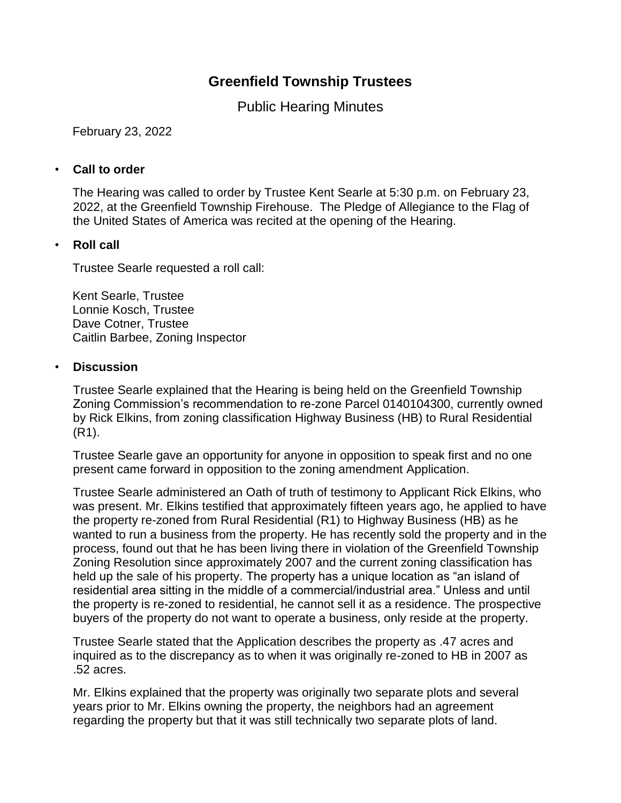# **Greenfield Township Trustees**

Public Hearing Minutes

February 23, 2022

## • **Call to order**

The Hearing was called to order by Trustee Kent Searle at 5:30 p.m. on February 23, 2022, at the Greenfield Township Firehouse. The Pledge of Allegiance to the Flag of the United States of America was recited at the opening of the Hearing.

## • **Roll call**

Trustee Searle requested a roll call:

Kent Searle, Trustee Lonnie Kosch, Trustee Dave Cotner, Trustee Caitlin Barbee, Zoning Inspector

### • **Discussion**

Trustee Searle explained that the Hearing is being held on the Greenfield Township Zoning Commission's recommendation to re-zone Parcel 0140104300, currently owned by Rick Elkins, from zoning classification Highway Business (HB) to Rural Residential (R1).

Trustee Searle gave an opportunity for anyone in opposition to speak first and no one present came forward in opposition to the zoning amendment Application.

Trustee Searle administered an Oath of truth of testimony to Applicant Rick Elkins, who was present. Mr. Elkins testified that approximately fifteen years ago, he applied to have the property re-zoned from Rural Residential (R1) to Highway Business (HB) as he wanted to run a business from the property. He has recently sold the property and in the process, found out that he has been living there in violation of the Greenfield Township Zoning Resolution since approximately 2007 and the current zoning classification has held up the sale of his property. The property has a unique location as "an island of residential area sitting in the middle of a commercial/industrial area." Unless and until the property is re-zoned to residential, he cannot sell it as a residence. The prospective buyers of the property do not want to operate a business, only reside at the property.

Trustee Searle stated that the Application describes the property as .47 acres and inquired as to the discrepancy as to when it was originally re-zoned to HB in 2007 as .52 acres.

Mr. Elkins explained that the property was originally two separate plots and several years prior to Mr. Elkins owning the property, the neighbors had an agreement regarding the property but that it was still technically two separate plots of land.